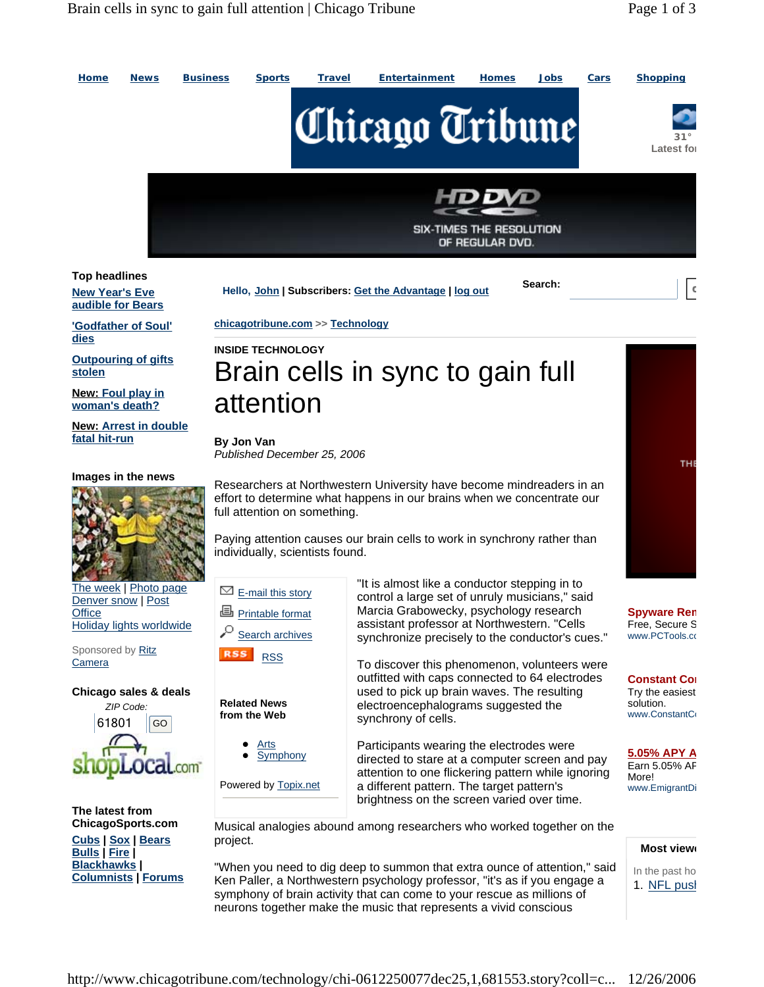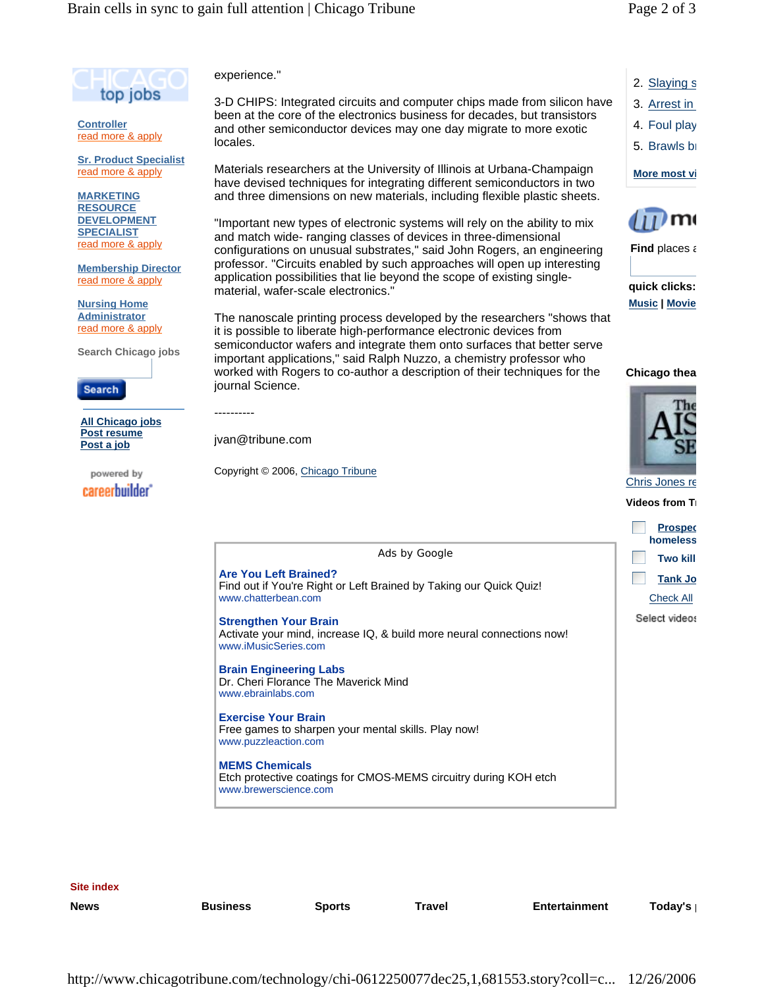2. Slaying s 3. Arrest in 4. Foul play 5. Brawls br

**More most vi**

**quick clicks: Music | Movie**

**Chicago thea**

**Find** places a

m١



**Controller** read more & apply

**Sr. Product Specialist** read more & apply

**MARKETING RESOURCE DEVELOPMENT SPECIALIST** read more & apply

**Membership Director** read more & apply

**Nursing Home Administrator** read more & apply

**Search Chicago jobs**

Search

**All Chicago jobs Post resume Post a job** 

powered by careerbuilder experience."

3-D CHIPS: Integrated circuits and computer chips made from silicon have been at the core of the electronics business for decades, but transistors and other semiconductor devices may one day migrate to more exotic locales.

Materials researchers at the University of Illinois at Urbana-Champaign have devised techniques for integrating different semiconductors in two and three dimensions on new materials, including flexible plastic sheets.

"Important new types of electronic systems will rely on the ability to mix and match wide- ranging classes of devices in three-dimensional configurations on unusual substrates," said John Rogers, an engineering professor. "Circuits enabled by such approaches will open up interesting application possibilities that lie beyond the scope of existing singlematerial, wafer-scale electronics."

The nanoscale printing process developed by the researchers "shows that it is possible to liberate high-performance electronic devices from semiconductor wafers and integrate them onto surfaces that better serve important applications," said Ralph Nuzzo, a chemistry professor who worked with Rogers to co-author a description of their techniques for the journal Science.



Chris Jones re

**Videos from Tr** 

|                                                                                                                               | <b>Prospec</b><br>homeless |
|-------------------------------------------------------------------------------------------------------------------------------|----------------------------|
| Ads by Google                                                                                                                 | <b>Two kill</b>            |
| <b>Are You Left Brained?</b><br>Find out if You're Right or Left Brained by Taking our Quick Quiz!                            | <b>Tank Jo</b>             |
| www.chatterbean.com                                                                                                           | <b>Check All</b>           |
| <b>Strengthen Your Brain</b><br>Activate your mind, increase IQ, & build more neural connections now!<br>www.iMusicSeries.com | Select videos              |
| <b>Brain Engineering Labs</b><br>Dr. Cheri Florance The Maverick Mind<br>www.ebrainlabs.com                                   |                            |
| <b>Exercise Your Brain</b><br>Free games to sharpen your mental skills. Play now!<br>www.puzzleaction.com                     |                            |
| <b>MEMS Chemicals</b><br>Etch protective coatings for CMOS-MEMS circuitry during KOH etch<br>www.brewerscience.com            |                            |
|                                                                                                                               |                            |

**Site index**

**News Business Sports Travel Entertainment Today's p**

----------

jvan@tribune.com

Copyright © 2006, Chicago Tribune